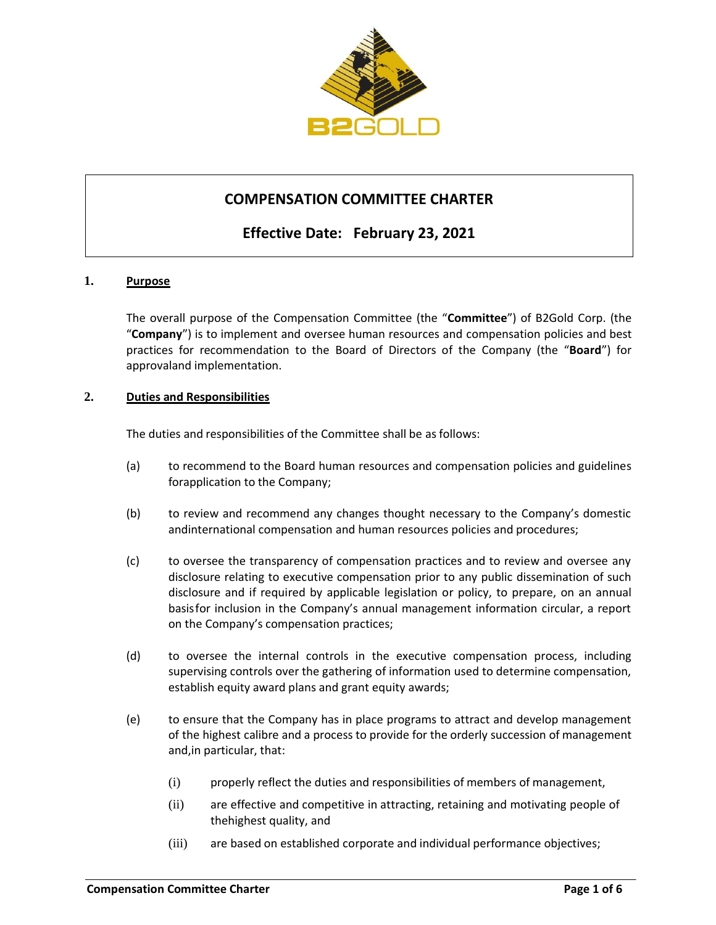

# **COMPENSATION COMMITTEE CHARTER**

# **Effective Date: February 23, 2021**

### **1. Purpose**

The overall purpose of the Compensation Committee (the "**Committee**") of B2Gold Corp. (the "**Company**") is to implement and oversee human resources and compensation policies and best practices for recommendation to the Board of Directors of the Company (the "**Board**") for approvaland implementation.

#### **2. Duties and Responsibilities**

The duties and responsibilities of the Committee shall be as follows:

- (a) to recommend to the Board human resources and compensation policies and guidelines forapplication to the Company;
- (b) to review and recommend any changes thought necessary to the Company's domestic andinternational compensation and human resources policies and procedures;
- (c) to oversee the transparency of compensation practices and to review and oversee any disclosure relating to executive compensation prior to any public dissemination of such disclosure and if required by applicable legislation or policy, to prepare, on an annual basisfor inclusion in the Company's annual management information circular, a report on the Company's compensation practices;
- (d) to oversee the internal controls in the executive compensation process, including supervising controls over the gathering of information used to determine compensation, establish equity award plans and grant equity awards;
- (e) to ensure that the Company has in place programs to attract and develop management of the highest calibre and a process to provide for the orderly succession of management and,in particular, that:
	- (i) properly reflect the duties and responsibilities of members of management,
	- (ii) are effective and competitive in attracting, retaining and motivating people of thehighest quality, and
	- (iii) are based on established corporate and individual performance objectives;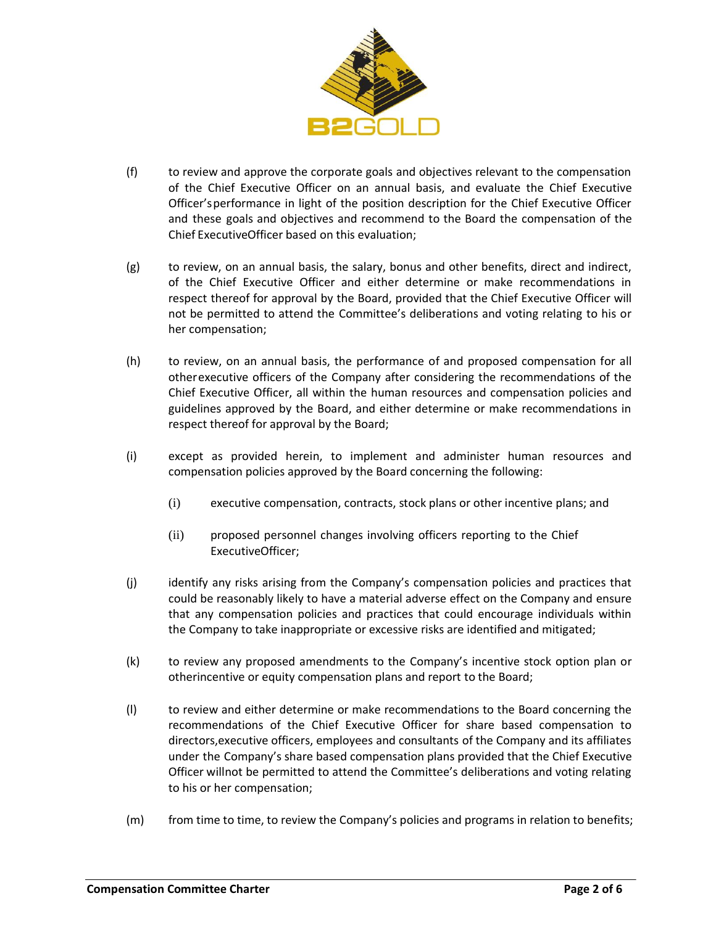

- (f) to review and approve the corporate goals and objectives relevant to the compensation of the Chief Executive Officer on an annual basis, and evaluate the Chief Executive Officer'sperformance in light of the position description for the Chief Executive Officer and these goals and objectives and recommend to the Board the compensation of the Chief ExecutiveOfficer based on this evaluation;
- <span id="page-1-0"></span>(g) to review, on an annual basis, the salary, bonus and other benefits, direct and indirect, of the Chief Executive Officer and either determine or make recommendations in respect thereof for approval by the Board, provided that the Chief Executive Officer will not be permitted to attend the Committee's deliberations and voting relating to his or her compensation;
- (h) to review, on an annual basis, the performance of and proposed compensation for all otherexecutive officers of the Company after considering the recommendations of the Chief Executive Officer, all within the human resources and compensation policies and guidelines approved by the Board, and either determine or make recommendations in respect thereof for approval by the Board;
- (i) except as provided herein, to implement and administer human resources and compensation policies approved by the Board concerning the following:
	- (i) executive compensation, contracts, stock plans or other incentive plans; and
	- (ii) proposed personnel changes involving officers reporting to the Chief ExecutiveOfficer;
- (j) identify any risks arising from the Company's compensation policies and practices that could be reasonably likely to have a material adverse effect on the Company and ensure that any compensation policies and practices that could encourage individuals within the Company to take inappropriate or excessive risks are identified and mitigated;
- (k) to review any proposed amendments to the Company's incentive stock option plan or otherincentive or equity compensation plans and report to the Board;
- <span id="page-1-1"></span>(l) to review and either determine or make recommendations to the Board concerning the recommendations of the Chief Executive Officer for share based compensation to directors,executive officers, employees and consultants of the Company and its affiliates under the Company's share based compensation plans provided that the Chief Executive Officer willnot be permitted to attend the Committee's deliberations and voting relating to his or her compensation;
- (m) from time to time, to review the Company's policies and programs in relation to benefits;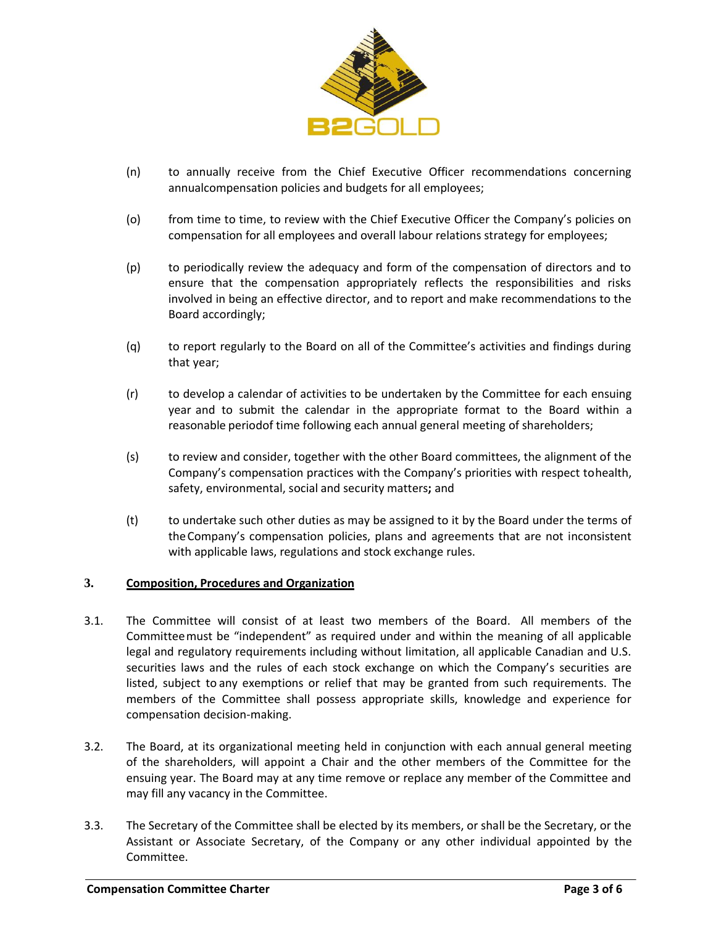

- (n) to annually receive from the Chief Executive Officer recommendations concerning annualcompensation policies and budgets for all employees;
- (o) from time to time, to review with the Chief Executive Officer the Company's policies on compensation for all employees and overall labour relations strategy for employees;
- (p) to periodically review the adequacy and form of the compensation of directors and to ensure that the compensation appropriately reflects the responsibilities and risks involved in being an effective director, and to report and make recommendations to the Board accordingly;
- (q) to report regularly to the Board on all of the Committee's activities and findings during that year;
- (r) to develop a calendar of activities to be undertaken by the Committee for each ensuing year and to submit the calendar in the appropriate format to the Board within a reasonable periodof time following each annual general meeting of shareholders;
- (s) to review and consider, together with the other Board committees, the alignment of the Company's compensation practices with the Company's priorities with respect tohealth, safety, environmental, social and security matters**;** and
- (t) to undertake such other duties as may be assigned to it by the Board under the terms of theCompany's compensation policies, plans and agreements that are not inconsistent with applicable laws, regulations and stock exchange rules.

### **3. Composition, Procedures and Organization**

- 3.1. The Committee will consist of at least two members of the Board. All members of the Committeemust be "independent" as required under and within the meaning of all applicable legal and regulatory requirements including without limitation, all applicable Canadian and U.S. securities laws and the rules of each stock exchange on which the Company's securities are listed, subject to any exemptions or relief that may be granted from such requirements. The members of the Committee shall possess appropriate skills, knowledge and experience for compensation decision-making.
- 3.2. The Board, at its organizational meeting held in conjunction with each annual general meeting of the shareholders, will appoint a Chair and the other members of the Committee for the ensuing year. The Board may at any time remove or replace any member of the Committee and may fill any vacancy in the Committee.
- 3.3. The Secretary of the Committee shall be elected by its members, or shall be the Secretary, or the Assistant or Associate Secretary, of the Company or any other individual appointed by the Committee.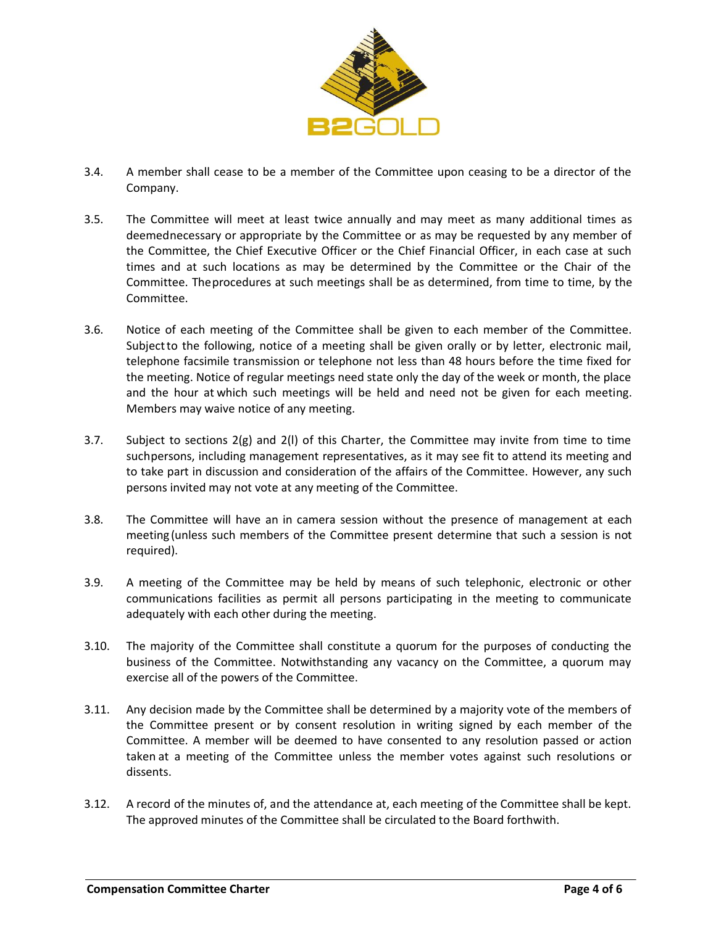

- 3.4. A member shall cease to be a member of the Committee upon ceasing to be a director of the Company.
- 3.5. The Committee will meet at least twice annually and may meet as many additional times as deemednecessary or appropriate by the Committee or as may be requested by any member of the Committee, the Chief Executive Officer or the Chief Financial Officer, in each case at such times and at such locations as may be determined by the Committee or the Chair of the Committee. Theprocedures at such meetings shall be as determined, from time to time, by the Committee.
- 3.6. Notice of each meeting of the Committee shall be given to each member of the Committee. Subjectto the following, notice of a meeting shall be given orally or by letter, electronic mail, telephone facsimile transmission or telephone not less than 48 hours before the time fixed for the meeting. Notice of regular meetings need state only the day of the week or month, the place and the hour at which such meetings will be held and need not be given for each meeting. Members may waive notice of any meeting.
- 3.7. Subject to sections [2\(g\) a](#page-1-0)nd [2\(l\) o](#page-1-1)f this Charter, the Committee may invite from time to time suchpersons, including management representatives, as it may see fit to attend its meeting and to take part in discussion and consideration of the affairs of the Committee. However, any such persons invited may not vote at any meeting of the Committee.
- 3.8. The Committee will have an in camera session without the presence of management at each meeting (unless such members of the Committee present determine that such a session is not required).
- 3.9. A meeting of the Committee may be held by means of such telephonic, electronic or other communications facilities as permit all persons participating in the meeting to communicate adequately with each other during the meeting.
- 3.10. The majority of the Committee shall constitute a quorum for the purposes of conducting the business of the Committee. Notwithstanding any vacancy on the Committee, a quorum may exercise all of the powers of the Committee.
- 3.11. Any decision made by the Committee shall be determined by a majority vote of the members of the Committee present or by consent resolution in writing signed by each member of the Committee. A member will be deemed to have consented to any resolution passed or action taken at a meeting of the Committee unless the member votes against such resolutions or dissents.
- 3.12. A record of the minutes of, and the attendance at, each meeting of the Committee shall be kept. The approved minutes of the Committee shall be circulated to the Board forthwith.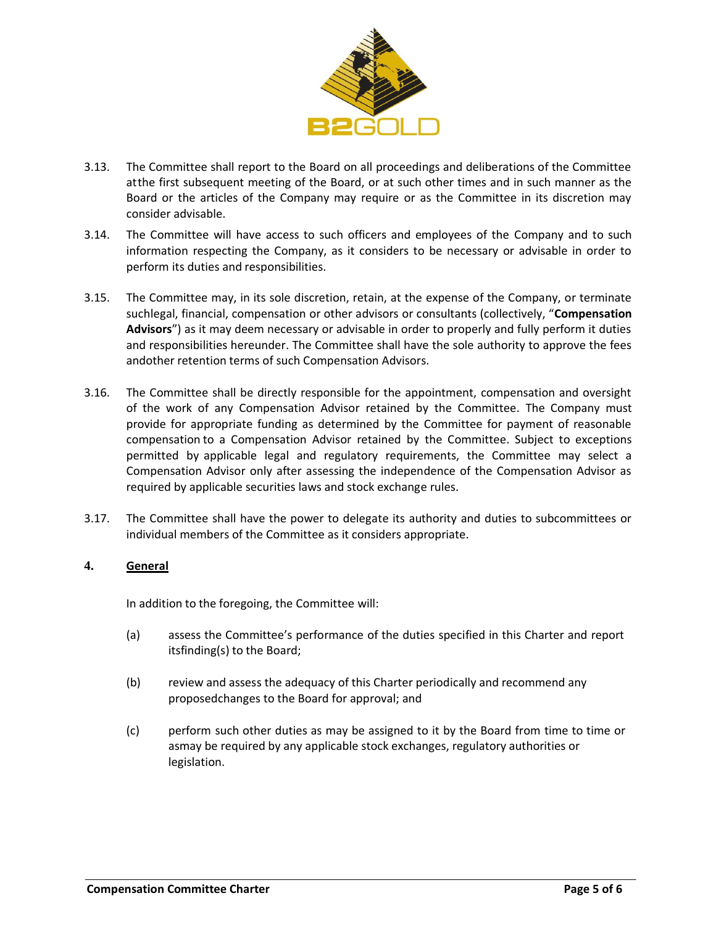

- 3.13. The Committee shall report to the Board on all proceedings and deliberations of the Committee atthe first subsequent meeting of the Board, or at such other times and in such manner as the Board or the articles of the Company may require or as the Committee in its discretion may consider advisable.
- 3.14. The Committee will have access to such officers and employees of the Company and to such information respecting the Company, as it considers to be necessary or advisable in order to perform its duties and responsibilities.
- 3.15. The Committee may, in its sole discretion, retain, at the expense of the Company, or terminate suchlegal, financial, compensation or other advisors or consultants (collectively, "**Compensation Advisors**") as it may deem necessary or advisable in order to properly and fully perform it duties and responsibilities hereunder. The Committee shall have the sole authority to approve the fees andother retention terms of such Compensation Advisors.
- 3.16. The Committee shall be directly responsible for the appointment, compensation and oversight of the work of any Compensation Advisor retained by the Committee. The Company must provide for appropriate funding as determined by the Committee for payment of reasonable compensation to a Compensation Advisor retained by the Committee. Subject to exceptions permitted by applicable legal and regulatory requirements, the Committee may select a Compensation Advisor only after assessing the independence of the Compensation Advisor as required by applicable securities laws and stock exchange rules.
- 3.17. The Committee shall have the power to delegate its authority and duties to subcommittees or individual members of the Committee as it considers appropriate.

## **4. General**

In addition to the foregoing, the Committee will:

- (a) assess the Committee's performance of the duties specified in this Charter and report itsfinding(s) to the Board;
- (b) review and assess the adequacy of this Charter periodically and recommend any proposedchanges to the Board for approval; and
- (c) perform such other duties as may be assigned to it by the Board from time to time or asmay be required by any applicable stock exchanges, regulatory authorities or legislation.